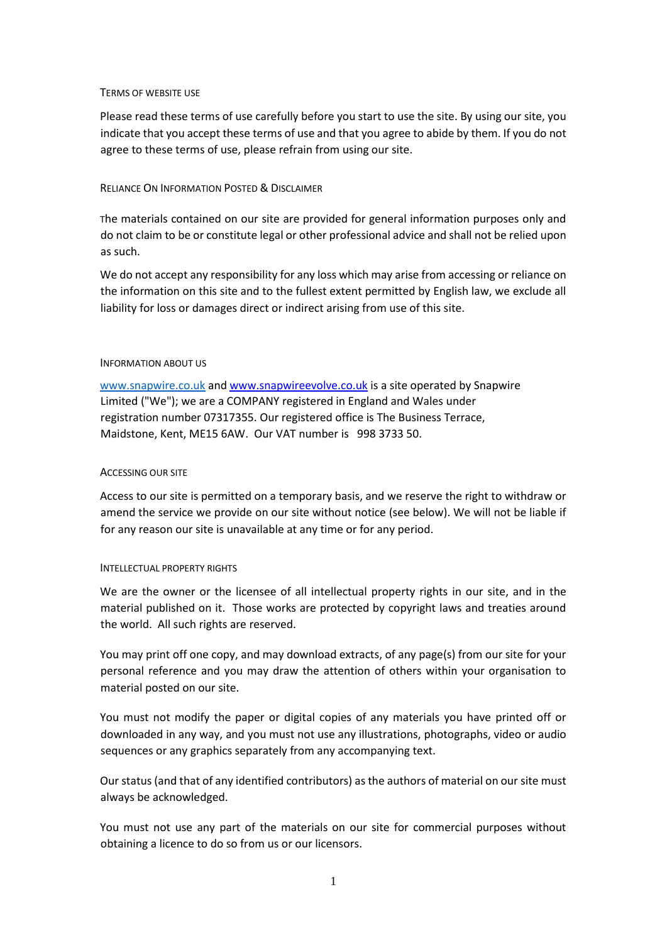#### TERMS OF WEBSITE USE

Please read these terms of use carefully before you start to use the site. By using our site, you indicate that you accept these terms of use and that you agree to abide by them. If you do not agree to these terms of use, please refrain from using our site.

# RELIANCE ON INFORMATION POSTED & DISCLAIMER

The materials contained on our site are provided for general information purposes only and do not claim to be or constitute legal or other professional advice and shall not be relied upon as such.

We do not accept any responsibility for any loss which may arise from accessing or reliance on the information on this site and to the fullest extent permitted by English law, we exclude all liability for loss or damages direct or indirect arising from use of this site.

### INFORMATION ABOUT US

[www.snapwire.co.uk](http://www.snapwire.co.uk/) and [www.snapwireevolve.co.uk](http://www.snapwireevolve.co.uk/) is a site operated by Snapwire Limited ("We"); we are a COMPANY registered in England and Wales under registration number 07317355. Our registered office is The Business Terrace, Maidstone, Kent, ME15 6AW. Our VAT number is 998 3733 50.

# ACCESSING OUR SITE

Access to our site is permitted on a temporary basis, and we reserve the right to withdraw or amend the service we provide on our site without notice (see below). We will not be liable if for any reason our site is unavailable at any time or for any period.

#### INTELLECTUAL PROPERTY RIGHTS

We are the owner or the licensee of all intellectual property rights in our site, and in the material published on it. Those works are protected by copyright laws and treaties around the world. All such rights are reserved.

You may print off one copy, and may download extracts, of any page(s) from our site for your personal reference and you may draw the attention of others within your organisation to material posted on our site.

You must not modify the paper or digital copies of any materials you have printed off or downloaded in any way, and you must not use any illustrations, photographs, video or audio sequences or any graphics separately from any accompanying text.

Our status (and that of any identified contributors) as the authors of material on our site must always be acknowledged.

You must not use any part of the materials on our site for commercial purposes without obtaining a licence to do so from us or our licensors.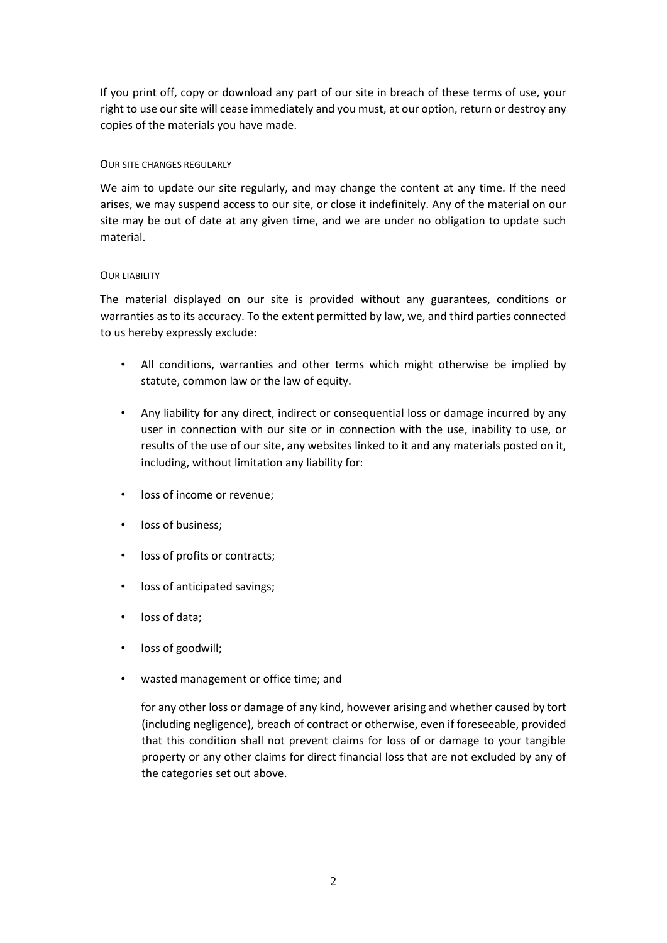If you print off, copy or download any part of our site in breach of these terms of use, your right to use our site will cease immediately and you must, at our option, return or destroy any copies of the materials you have made.

# OUR SITE CHANGES REGULARLY

We aim to update our site regularly, and may change the content at any time. If the need arises, we may suspend access to our site, or close it indefinitely. Any of the material on our site may be out of date at any given time, and we are under no obligation to update such material.

### OUR LIABILITY

The material displayed on our site is provided without any guarantees, conditions or warranties as to its accuracy. To the extent permitted by law, we, and third parties connected to us hereby expressly exclude:

- All conditions, warranties and other terms which might otherwise be implied by statute, common law or the law of equity.
- Any liability for any direct, indirect or consequential loss or damage incurred by any user in connection with our site or in connection with the use, inability to use, or results of the use of our site, any websites linked to it and any materials posted on it, including, without limitation any liability for:
- loss of income or revenue;
- loss of business;
- loss of profits or contracts;
- loss of anticipated savings;
- loss of data;
- loss of goodwill;
- wasted management or office time; and

for any other loss or damage of any kind, however arising and whether caused by tort (including negligence), breach of contract or otherwise, even if foreseeable, provided that this condition shall not prevent claims for loss of or damage to your tangible property or any other claims for direct financial loss that are not excluded by any of the categories set out above.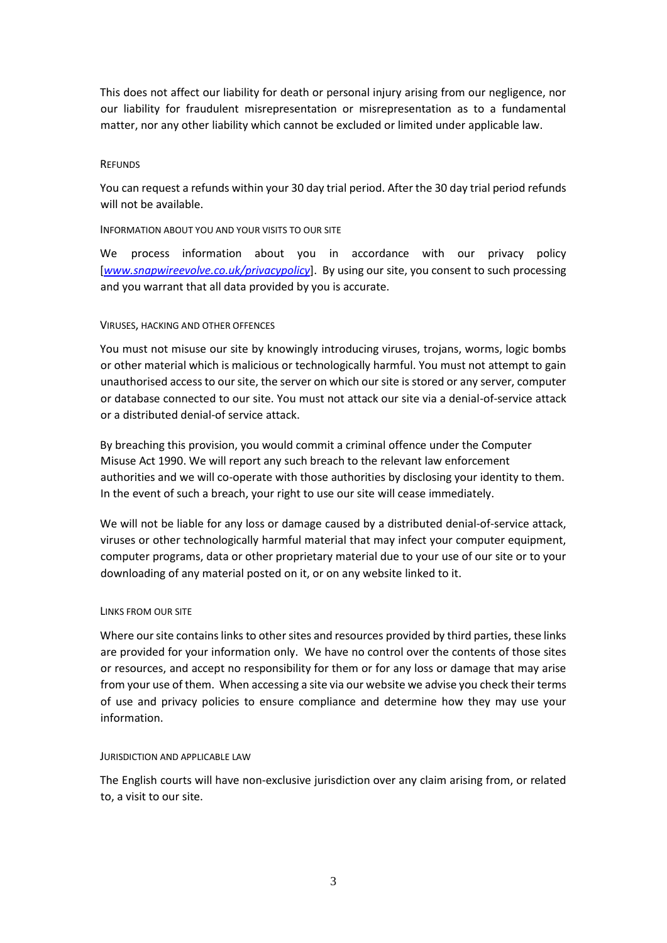This does not affect our liability for death or personal injury arising from our negligence, nor our liability for fraudulent misrepresentation or misrepresentation as to a fundamental matter, nor any other liability which cannot be excluded or limited under applicable law.

### **REFUNDS**

You can request a refunds within your 30 day trial period. After the 30 day trial period refunds will not be available.

### INFORMATION ABOUT YOU AND YOUR VISITS TO OUR SITE

We process information about you in accordance with our privacy policy [*www.snapwireevolve.co.uk/privacypolicy*]. By using our site, you consent to such processing and you warrant that all data provided by you is accurate.

### VIRUSES, HACKING AND OTHER OFFENCES

You must not misuse our site by knowingly introducing viruses, trojans, worms, logic bombs or other material which is malicious or technologically harmful. You must not attempt to gain unauthorised access to our site, the server on which our site is stored or any server, computer or database connected to our site. You must not attack our site via a denial-of-service attack or a distributed denial-of service attack.

By breaching this provision, you would commit a criminal offence under the Computer Misuse Act 1990. We will report any such breach to the relevant law enforcement authorities and we will co-operate with those authorities by disclosing your identity to them. In the event of such a breach, your right to use our site will cease immediately.

We will not be liable for any loss or damage caused by a distributed denial-of-service attack, viruses or other technologically harmful material that may infect your computer equipment, computer programs, data or other proprietary material due to your use of our site or to your downloading of any material posted on it, or on any website linked to it.

#### LINKS FROM OUR SITE

Where our site contains links to other sites and resources provided by third parties, these links are provided for your information only. We have no control over the contents of those sites or resources, and accept no responsibility for them or for any loss or damage that may arise from your use of them. When accessing a site via our website we advise you check their terms of use and privacy policies to ensure compliance and determine how they may use your information.

#### JURISDICTION AND APPLICABLE LAW

The English courts will have non-exclusive jurisdiction over any claim arising from, or related to, a visit to our site.